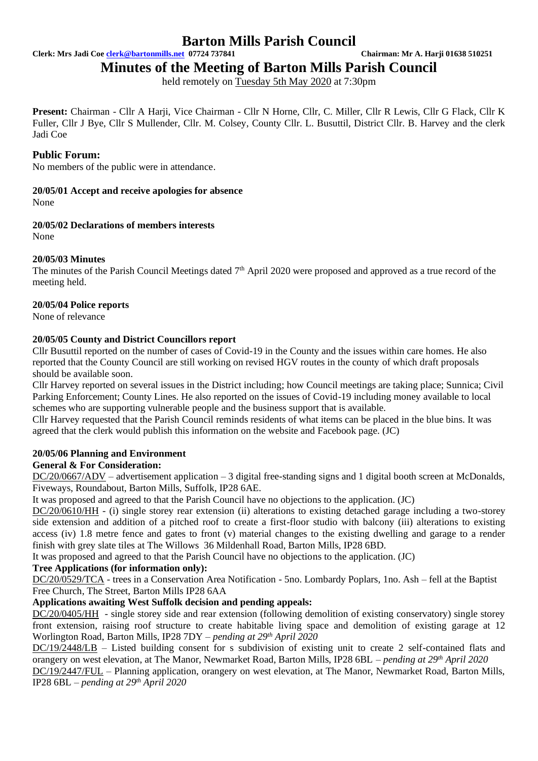**Clerk: Mrs Jadi Coe [clerk@bartonmills.net](mailto:clerk@bartonmills.net) 07724 737841 Chairman: Mr A. Harji 01638 510251**

**Minutes of the Meeting of Barton Mills Parish Council**

held remotely on Tuesday 5th May 2020 at 7:30pm

Present: Chairman - Cllr A Harji, Vice Chairman - Cllr N Horne, Cllr, C. Miller, Cllr R Lewis, Cllr G Flack, Cllr K Fuller, Cllr J Bye, Cllr S Mullender, Cllr. M. Colsey, County Cllr. L. Busuttil, District Cllr. B. Harvey and the clerk Jadi Coe

# **Public Forum:**

No members of the public were in attendance.

## **20/05/01 Accept and receive apologies for absence**

None

## **20/05/02 Declarations of members interests**

None

# **20/05/03 Minutes**

The minutes of the Parish Council Meetings dated  $7<sup>th</sup>$  April 2020 were proposed and approved as a true record of the meeting held.

## **20/05/04 Police reports**

None of relevance

# **20/05/05 County and District Councillors report**

Cllr Busuttil reported on the number of cases of Covid-19 in the County and the issues within care homes. He also reported that the County Council are still working on revised HGV routes in the county of which draft proposals should be available soon.

Cllr Harvey reported on several issues in the District including; how Council meetings are taking place; Sunnica; Civil Parking Enforcement; County Lines. He also reported on the issues of Covid-19 including money available to local schemes who are supporting vulnerable people and the business support that is available.

Cllr Harvey requested that the Parish Council reminds residents of what items can be placed in the blue bins. It was agreed that the clerk would publish this information on the website and Facebook page. (JC)

# **20/05/06 Planning and Environment**

## **General & For Consideration:**

DC/20/0667/ADV – advertisement application – 3 digital free-standing signs and 1 digital booth screen at McDonalds, Fiveways, Roundabout, Barton Mills, Suffolk, IP28 6AE.

It was proposed and agreed to that the Parish Council have no objections to the application. (JC)

DC/20/0610/HH - (i) single storey rear extension (ii) alterations to existing detached garage including a two-storey side extension and addition of a pitched roof to create a first-floor studio with balcony (iii) alterations to existing access (iv) 1.8 metre fence and gates to front (v) material changes to the existing dwelling and garage to a render finish with grey slate tiles at The Willows 36 Mildenhall Road, Barton Mills, IP28 6BD.

It was proposed and agreed to that the Parish Council have no objections to the application. (JC)

# **Tree Applications (for information only):**

DC/20/0529/TCA - trees in a Conservation Area Notification - 5no. Lombardy Poplars, 1no. Ash – fell at the Baptist Free Church, The Street, Barton Mills IP28 6AA

# **Applications awaiting West Suffolk decision and pending appeals:**

DC/20/0405/HH - single storey side and rear extension (following demolition of existing conservatory) single storey front extension, raising roof structure to create habitable living space and demolition of existing garage at 12 Worlington Road, Barton Mills, IP28 7DY *– pending at 29 th April 2020*

DC/19/2448/LB – Listed building consent for s subdivision of existing unit to create 2 self-contained flats and orangery on west elevation, at The Manor, Newmarket Road, Barton Mills, IP28 6BL – *pending at 29 th April 2020* DC/19/2447/FUL – Planning application, orangery on west elevation, at The Manor, Newmarket Road, Barton Mills, IP28 6BL *– pending at 29 th April 2020*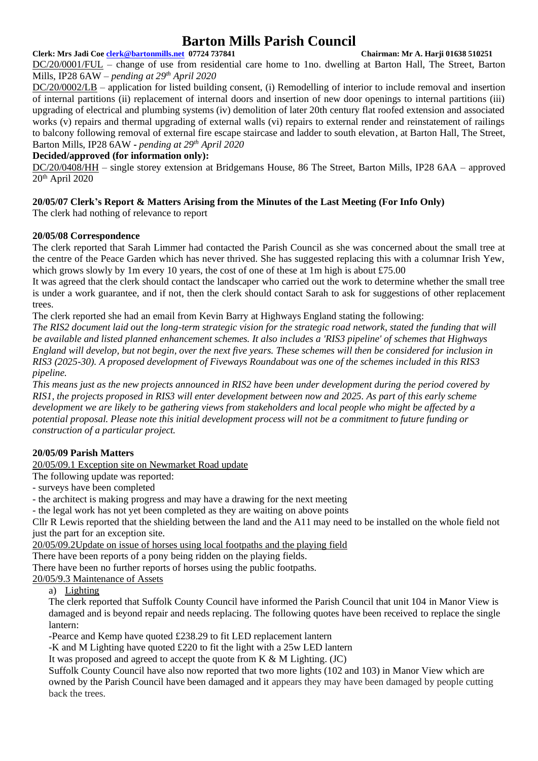#### **Clerk: Mrs Jadi Coe [clerk@bartonmills.net](mailto:clerk@bartonmills.net) 07724 737841 Chairman: Mr A. Harji 01638 510251**

DC/20/0001/FUL – change of use from residential care home to 1no. dwelling at Barton Hall, The Street, Barton Mills, IP28 6AW *– pending at 29 th April 2020*

DC/20/0002/LB – application for listed building consent, (i) Remodelling of interior to include removal and insertion of internal partitions (ii) replacement of internal doors and insertion of new door openings to internal partitions (iii) upgrading of electrical and plumbing systems (iv) demolition of later 20th century flat roofed extension and associated works (v) repairs and thermal upgrading of external walls (vi) repairs to external render and reinstatement of railings to balcony following removal of external fire escape staircase and ladder to south elevation, at Barton Hall, The Street, Barton Mills, IP28 6AW **-** *pending at 29 th April 2020*

## **Decided/approved (for information only):**

DC/20/0408/HH – single storey extension at Bridgemans House, 86 The Street, Barton Mills, IP28 6AA – approved 20th April 2020

# **20/05/07 Clerk's Report & Matters Arising from the Minutes of the Last Meeting (For Info Only)**

The clerk had nothing of relevance to report

## **20/05/08 Correspondence**

The clerk reported that Sarah Limmer had contacted the Parish Council as she was concerned about the small tree at the centre of the Peace Garden which has never thrived. She has suggested replacing this with a columnar Irish Yew, which grows slowly by 1m every 10 years, the cost of one of these at 1m high is about £75.00

It was agreed that the clerk should contact the landscaper who carried out the work to determine whether the small tree is under a work guarantee, and if not, then the clerk should contact Sarah to ask for suggestions of other replacement trees.

The clerk reported she had an email from Kevin Barry at Highways England stating the following:

*The RIS2 document laid out the long-term strategic vision for the strategic road network, stated the funding that will be available and listed planned enhancement schemes. It also includes a 'RIS3 pipeline' of schemes that Highways England will develop, but not begin, over the next five years. These schemes will then be considered for inclusion in RIS3 (2025-30). A proposed development of Fiveways Roundabout was one of the schemes included in this RIS3 pipeline.* 

*This means just as the new projects announced in RIS2 have been under development during the period covered by RIS1, the projects proposed in RIS3 will enter development between now and 2025. As part of this early scheme development we are likely to be gathering views from stakeholders and local people who might be affected by a potential proposal. Please note this initial development process will not be a commitment to future funding or construction of a particular project.*

# **20/05/09 Parish Matters**

20/05/09.1 Exception site on Newmarket Road update

The following update was reported:

- surveys have been completed

- the architect is making progress and may have a drawing for the next meeting

- the legal work has not yet been completed as they are waiting on above points

Cllr R Lewis reported that the shielding between the land and the A11 may need to be installed on the whole field not just the part for an exception site.

20/05/09.2Update on issue of horses using local footpaths and the playing field

There have been reports of a pony being ridden on the playing fields.

There have been no further reports of horses using the public footpaths.

20/05/9.3 Maintenance of Assets

a) Lighting

The clerk reported that Suffolk County Council have informed the Parish Council that unit 104 in Manor View is damaged and is beyond repair and needs replacing. The following quotes have been received to replace the single lantern:

-Pearce and Kemp have quoted £238.29 to fit LED replacement lantern

-K and M Lighting have quoted £220 to fit the light with a 25w LED lantern

It was proposed and agreed to accept the quote from  $K \& M$  Lighting. (JC)

Suffolk County Council have also now reported that two more lights (102 and 103) in Manor View which are owned by the Parish Council have been damaged and it appears they may have been damaged by people cutting back the trees.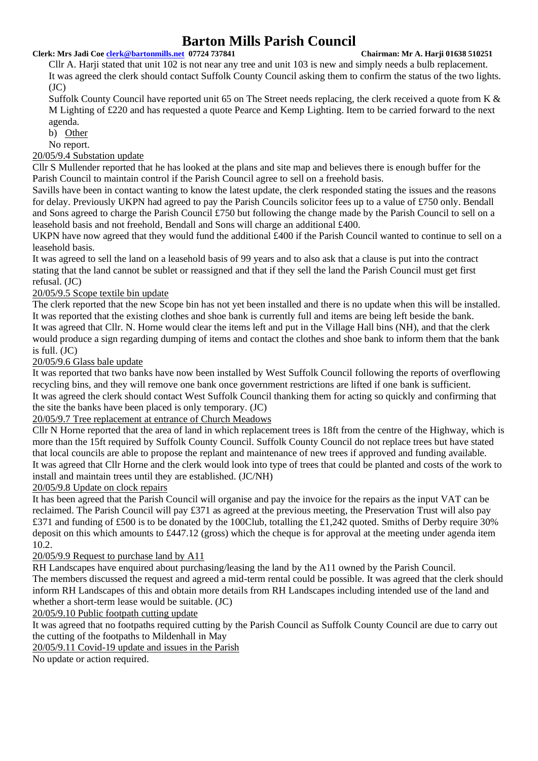#### **Clerk: Mrs Jadi Coe [clerk@bartonmills.net](mailto:clerk@bartonmills.net) 07724 737841 Chairman: Mr A. Harji 01638 510251**

Cllr A. Harji stated that unit 102 is not near any tree and unit 103 is new and simply needs a bulb replacement. It was agreed the clerk should contact Suffolk County Council asking them to confirm the status of the two lights.  $(JC)$ 

Suffolk County Council have reported unit 65 on The Street needs replacing, the clerk received a quote from K & M Lighting of £220 and has requested a quote Pearce and Kemp Lighting. Item to be carried forward to the next agenda.

b) Other

No report.

## 20/05/9.4 Substation update

Cllr S Mullender reported that he has looked at the plans and site map and believes there is enough buffer for the Parish Council to maintain control if the Parish Council agree to sell on a freehold basis.

Savills have been in contact wanting to know the latest update, the clerk responded stating the issues and the reasons for delay. Previously UKPN had agreed to pay the Parish Councils solicitor fees up to a value of £750 only. Bendall and Sons agreed to charge the Parish Council £750 but following the change made by the Parish Council to sell on a leasehold basis and not freehold, Bendall and Sons will charge an additional £400.

UKPN have now agreed that they would fund the additional £400 if the Parish Council wanted to continue to sell on a leasehold basis.

It was agreed to sell the land on a leasehold basis of 99 years and to also ask that a clause is put into the contract stating that the land cannot be sublet or reassigned and that if they sell the land the Parish Council must get first refusal. (JC)

## 20/05/9.5 Scope textile bin update

The clerk reported that the new Scope bin has not yet been installed and there is no update when this will be installed. It was reported that the existing clothes and shoe bank is currently full and items are being left beside the bank. It was agreed that Cllr. N. Horne would clear the items left and put in the Village Hall bins (NH), and that the clerk would produce a sign regarding dumping of items and contact the clothes and shoe bank to inform them that the bank is full. (JC)

#### 20/05/9.6 Glass bale update

It was reported that two banks have now been installed by West Suffolk Council following the reports of overflowing recycling bins, and they will remove one bank once government restrictions are lifted if one bank is sufficient. It was agreed the clerk should contact West Suffolk Council thanking them for acting so quickly and confirming that the site the banks have been placed is only temporary. (JC)

## 20/05/9.7 Tree replacement at entrance of Church Meadows

Cllr N Horne reported that the area of land in which replacement trees is 18ft from the centre of the Highway, which is more than the 15ft required by Suffolk County Council. Suffolk County Council do not replace trees but have stated that local councils are able to propose the replant and maintenance of new trees if approved and funding available. It was agreed that Cllr Horne and the clerk would look into type of trees that could be planted and costs of the work to install and maintain trees until they are established. (JC/NH)

#### 20/05/9.8 Update on clock repairs

It has been agreed that the Parish Council will organise and pay the invoice for the repairs as the input VAT can be reclaimed. The Parish Council will pay £371 as agreed at the previous meeting, the Preservation Trust will also pay £371 and funding of £500 is to be donated by the 100Club, totalling the £1,242 quoted. Smiths of Derby require 30% deposit on this which amounts to £447.12 (gross) which the cheque is for approval at the meeting under agenda item 10.2.

## 20/05/9.9 Request to purchase land by A11

RH Landscapes have enquired about purchasing/leasing the land by the A11 owned by the Parish Council. The members discussed the request and agreed a mid-term rental could be possible. It was agreed that the clerk should inform RH Landscapes of this and obtain more details from RH Landscapes including intended use of the land and whether a short-term lease would be suitable. (JC)

20/05/9.10 Public footpath cutting update

It was agreed that no footpaths required cutting by the Parish Council as Suffolk County Council are due to carry out the cutting of the footpaths to Mildenhall in May

20/05/9.11 Covid-19 update and issues in the Parish

No update or action required.